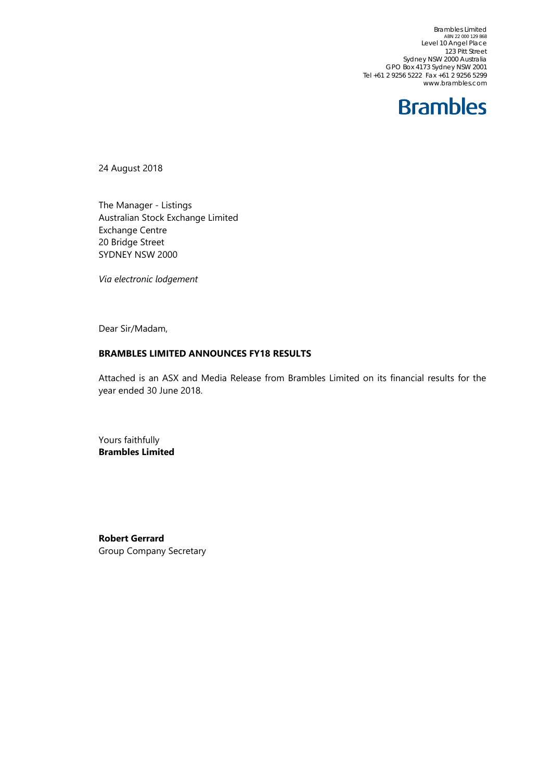Brambles Limited ABN 22 000 129 868 Level 10 Angel Place 123 Pitt Street Sydney NSW 2000 Australia GPO Box 4173 Sydney NSW 2001 Tel +61 2 9256 5222 Fax +61 2 9256 5299 www.brambles.com

### **Brambles**

24 August 2018

The Manager - Listings Australian Stock Exchange Limited Exchange Centre 20 Bridge Street SYDNEY NSW 2000

*Via electronic lodgement*

Dear Sir/Madam,

#### **BRAMBLES LIMITED ANNOUNCES FY18 RESULTS**

Attached is an ASX and Media Release from Brambles Limited on its financial results for the year ended 30 June 2018.

Yours faithfully **Brambles Limited** 

**Robert Gerrard**  Group Company Secretary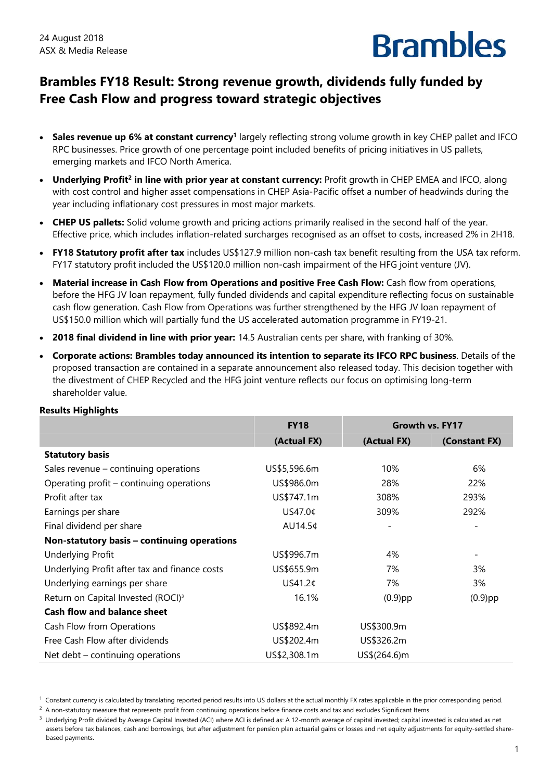

### **Brambles FY18 Result: Strong revenue growth, dividends fully funded by Free Cash Flow and progress toward strategic objectives**

- **Sales revenue up 6% at constant currency<sup>1</sup>** largely reflecting strong volume growth in key CHEP pallet and IFCO RPC businesses. Price growth of one percentage point included benefits of pricing initiatives in US pallets, emerging markets and IFCO North America.
- Underlying Profit<sup>2</sup> in line with prior year at constant currency: Profit growth in CHEP EMEA and IFCO, along with cost control and higher asset compensations in CHEP Asia-Pacific offset a number of headwinds during the year including inflationary cost pressures in most major markets.
- **CHEP US pallets:** Solid volume growth and pricing actions primarily realised in the second half of the year. Effective price, which includes inflation-related surcharges recognised as an offset to costs, increased 2% in 2H18.
- **FY18 Statutory profit after tax** includes US\$127.9 million non-cash tax benefit resulting from the USA tax reform. FY17 statutory profit included the US\$120.0 million non-cash impairment of the HFG joint venture (JV).
- **Material increase in Cash Flow from Operations and positive Free Cash Flow:** Cash flow from operations, before the HFG JV loan repayment, fully funded dividends and capital expenditure reflecting focus on sustainable cash flow generation. Cash Flow from Operations was further strengthened by the HFG JV loan repayment of US\$150.0 million which will partially fund the US accelerated automation programme in FY19-21.
- **2018 final dividend in line with prior year:** 14.5 Australian cents per share, with franking of 30%.
- **Corporate actions: Brambles today announced its intention to separate its IFCO RPC business**. Details of the proposed transaction are contained in a separate announcement also released today. This decision together with the divestment of CHEP Recycled and the HFG joint venture reflects our focus on optimising long-term shareholder value.

|                                                | <b>FY18</b>  | Growth vs. FY17 |                              |
|------------------------------------------------|--------------|-----------------|------------------------------|
|                                                | (Actual FX)  | (Actual FX)     | (Constant FX)                |
| <b>Statutory basis</b>                         |              |                 |                              |
| Sales revenue - continuing operations          | US\$5,596.6m | 10%             | 6%                           |
| Operating profit – continuing operations       | US\$986.0m   | 28%             | 22%                          |
| Profit after tax                               | US\$747.1m   | 308%            | 293%                         |
| Earnings per share                             | US47.0¢      | 309%            | 292%                         |
| Final dividend per share                       | AU14.5¢      |                 | $\overline{\phantom{a}}$     |
| Non-statutory basis - continuing operations    |              |                 |                              |
| Underlying Profit                              | US\$996.7m   | 4%              | $\qquad \qquad \blacksquare$ |
| Underlying Profit after tax and finance costs  | US\$655.9m   | 7%              | 3%                           |
| Underlying earnings per share                  | US41.2¢      | 7%              | 3%                           |
| Return on Capital Invested (ROCI) <sup>3</sup> | 16.1%        | $(0.9)$ pp      | $(0.9)$ pp                   |
| <b>Cash flow and balance sheet</b>             |              |                 |                              |
| Cash Flow from Operations                      | US\$892.4m   | US\$300.9m      |                              |
| Free Cash Flow after dividends                 | US\$202.4m   | US\$326.2m      |                              |
| Net debt $-$ continuing operations             | US\$2,308.1m | US\$(264.6)m    |                              |

#### **Results Highlights**

 $^2$  A non-statutory measure that represents profit from continuing operations before finance costs and tax and excludes Significant Items.

 $3$  Underlying Profit divided by Average Capital Invested (ACI) where ACI is defined as: A 12-month average of capital invested; capital invested is calculated as net assets before tax balances, cash and borrowings, but after adjustment for pension plan actuarial gains or losses and net equity adjustments for equity-settled sharebased payments.

 $1$  Constant currency is calculated by translating reported period results into US dollars at the actual monthly FX rates applicable in the prior corresponding period.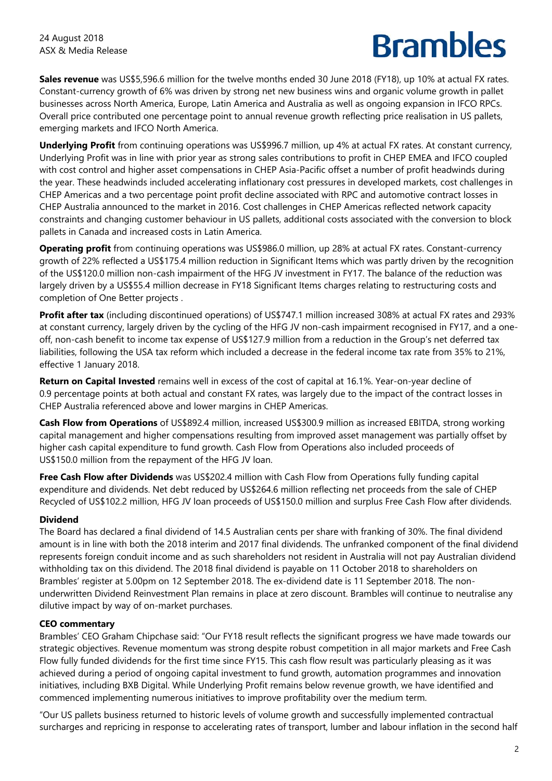**Sales revenue** was US\$5,596.6 million for the twelve months ended 30 June 2018 (FY18), up 10% at actual FX rates. Constant-currency growth of 6% was driven by strong net new business wins and organic volume growth in pallet businesses across North America, Europe, Latin America and Australia as well as ongoing expansion in IFCO RPCs. Overall price contributed one percentage point to annual revenue growth reflecting price realisation in US pallets, emerging markets and IFCO North America.

**Underlying Profit** from continuing operations was US\$996.7 million, up 4% at actual FX rates. At constant currency, Underlying Profit was in line with prior year as strong sales contributions to profit in CHEP EMEA and IFCO coupled with cost control and higher asset compensations in CHEP Asia-Pacific offset a number of profit headwinds during the year. These headwinds included accelerating inflationary cost pressures in developed markets, cost challenges in CHEP Americas and a two percentage point profit decline associated with RPC and automotive contract losses in CHEP Australia announced to the market in 2016. Cost challenges in CHEP Americas reflected network capacity constraints and changing customer behaviour in US pallets, additional costs associated with the conversion to block pallets in Canada and increased costs in Latin America.

**Operating profit** from continuing operations was US\$986.0 million, up 28% at actual FX rates. Constant-currency growth of 22% reflected a US\$175.4 million reduction in Significant Items which was partly driven by the recognition of the US\$120.0 million non-cash impairment of the HFG JV investment in FY17. The balance of the reduction was largely driven by a US\$55.4 million decrease in FY18 Significant Items charges relating to restructuring costs and completion of One Better projects .

**Profit after tax** (including discontinued operations) of US\$747.1 million increased 308% at actual FX rates and 293% at constant currency, largely driven by the cycling of the HFG JV non-cash impairment recognised in FY17, and a oneoff, non-cash benefit to income tax expense of US\$127.9 million from a reduction in the Group's net deferred tax liabilities, following the USA tax reform which included a decrease in the federal income tax rate from 35% to 21%, effective 1 January 2018.

**Return on Capital Invested** remains well in excess of the cost of capital at 16.1%. Year-on-year decline of 0.9 percentage points at both actual and constant FX rates, was largely due to the impact of the contract losses in CHEP Australia referenced above and lower margins in CHEP Americas.

**Cash Flow from Operations** of US\$892.4 million, increased US\$300.9 million as increased EBITDA, strong working capital management and higher compensations resulting from improved asset management was partially offset by higher cash capital expenditure to fund growth. Cash Flow from Operations also included proceeds of US\$150.0 million from the repayment of the HFG JV loan.

**Free Cash Flow after Dividends** was US\$202.4 million with Cash Flow from Operations fully funding capital expenditure and dividends. Net debt reduced by US\$264.6 million reflecting net proceeds from the sale of CHEP Recycled of US\$102.2 million, HFG JV loan proceeds of US\$150.0 million and surplus Free Cash Flow after dividends.

#### **Dividend**

The Board has declared a final dividend of 14.5 Australian cents per share with franking of 30%. The final dividend amount is in line with both the 2018 interim and 2017 final dividends. The unfranked component of the final dividend represents foreign conduit income and as such shareholders not resident in Australia will not pay Australian dividend withholding tax on this dividend. The 2018 final dividend is payable on 11 October 2018 to shareholders on Brambles' register at 5.00pm on 12 September 2018. The ex-dividend date is 11 September 2018. The nonunderwritten Dividend Reinvestment Plan remains in place at zero discount. Brambles will continue to neutralise any dilutive impact by way of on-market purchases.

#### **CEO commentary**

Brambles' CEO Graham Chipchase said: "Our FY18 result reflects the significant progress we have made towards our strategic objectives. Revenue momentum was strong despite robust competition in all major markets and Free Cash Flow fully funded dividends for the first time since FY15. This cash flow result was particularly pleasing as it was achieved during a period of ongoing capital investment to fund growth, automation programmes and innovation initiatives, including BXB Digital. While Underlying Profit remains below revenue growth, we have identified and commenced implementing numerous initiatives to improve profitability over the medium term.

"Our US pallets business returned to historic levels of volume growth and successfully implemented contractual surcharges and repricing in response to accelerating rates of transport, lumber and labour inflation in the second half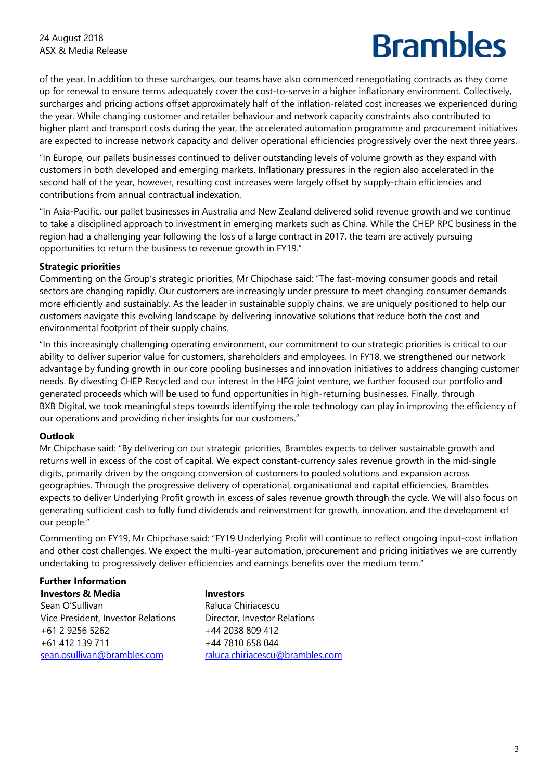of the year. In addition to these surcharges, our teams have also commenced renegotiating contracts as they come up for renewal to ensure terms adequately cover the cost-to-serve in a higher inflationary environment. Collectively, surcharges and pricing actions offset approximately half of the inflation-related cost increases we experienced during the year. While changing customer and retailer behaviour and network capacity constraints also contributed to higher plant and transport costs during the year, the accelerated automation programme and procurement initiatives are expected to increase network capacity and deliver operational efficiencies progressively over the next three years.

"In Europe, our pallets businesses continued to deliver outstanding levels of volume growth as they expand with customers in both developed and emerging markets. Inflationary pressures in the region also accelerated in the second half of the year, however, resulting cost increases were largely offset by supply-chain efficiencies and contributions from annual contractual indexation.

"In Asia-Pacific, our pallet businesses in Australia and New Zealand delivered solid revenue growth and we continue to take a disciplined approach to investment in emerging markets such as China. While the CHEP RPC business in the region had a challenging year following the loss of a large contract in 2017, the team are actively pursuing opportunities to return the business to revenue growth in FY19."

#### **Strategic priorities**

Commenting on the Group's strategic priorities, Mr Chipchase said: "The fast-moving consumer goods and retail sectors are changing rapidly. Our customers are increasingly under pressure to meet changing consumer demands more efficiently and sustainably. As the leader in sustainable supply chains, we are uniquely positioned to help our customers navigate this evolving landscape by delivering innovative solutions that reduce both the cost and environmental footprint of their supply chains.

"In this increasingly challenging operating environment, our commitment to our strategic priorities is critical to our ability to deliver superior value for customers, shareholders and employees. In FY18, we strengthened our network advantage by funding growth in our core pooling businesses and innovation initiatives to address changing customer needs. By divesting CHEP Recycled and our interest in the HFG joint venture, we further focused our portfolio and generated proceeds which will be used to fund opportunities in high-returning businesses. Finally, through BXB Digital, we took meaningful steps towards identifying the role technology can play in improving the efficiency of our operations and providing richer insights for our customers."

#### **Outlook**

Mr Chipchase said: "By delivering on our strategic priorities, Brambles expects to deliver sustainable growth and returns well in excess of the cost of capital. We expect constant-currency sales revenue growth in the mid-single digits, primarily driven by the ongoing conversion of customers to pooled solutions and expansion across geographies. Through the progressive delivery of operational, organisational and capital efficiencies, Brambles expects to deliver Underlying Profit growth in excess of sales revenue growth through the cycle. We will also focus on generating sufficient cash to fully fund dividends and reinvestment for growth, innovation, and the development of our people."

Commenting on FY19, Mr Chipchase said: "FY19 Underlying Profit will continue to reflect ongoing input-cost inflation and other cost challenges. We expect the multi-year automation, procurement and pricing initiatives we are currently undertaking to progressively deliver efficiencies and earnings benefits over the medium term."

#### **Further Information**

**Investors & Media**  Sean O'Sullivan Vice President, Investor Relations +61 2 9256 5262 +61 412 139 711 sean.osullivan@brambles.com

**Investors**  Raluca Chiriacescu Director, Investor Relations +44 2038 809 412 +44 7810 658 044 raluca.chiriacescu@brambles.com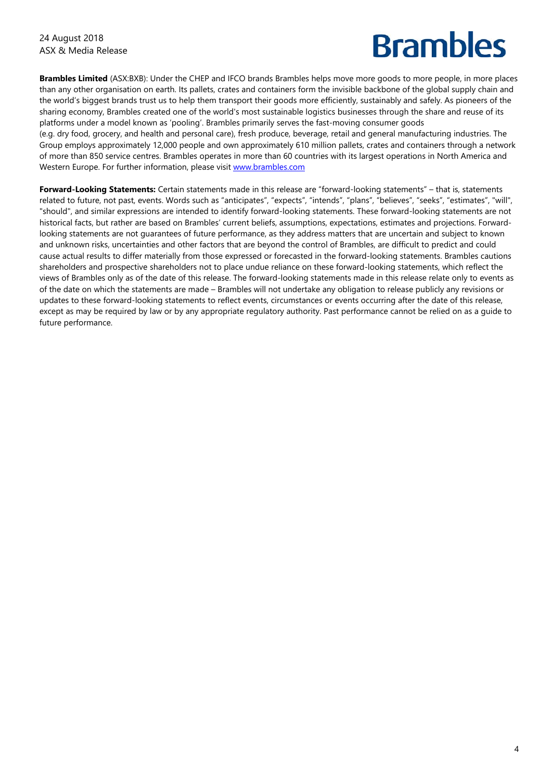**Brambles Limited** (ASX:BXB): Under the CHEP and IFCO brands Brambles helps move more goods to more people, in more places than any other organisation on earth. Its pallets, crates and containers form the invisible backbone of the global supply chain and the world's biggest brands trust us to help them transport their goods more efficiently, sustainably and safely. As pioneers of the sharing economy, Brambles created one of the world's most sustainable logistics businesses through the share and reuse of its platforms under a model known as 'pooling'. Brambles primarily serves the fast-moving consumer goods

(e.g. dry food, grocery, and health and personal care), fresh produce, beverage, retail and general manufacturing industries. The Group employs approximately 12,000 people and own approximately 610 million pallets, crates and containers through a network of more than 850 service centres. Brambles operates in more than 60 countries with its largest operations in North America and Western Europe. For further information, please visit www.brambles.com

**Forward-Looking Statements:** Certain statements made in this release are "forward-looking statements" – that is, statements related to future, not past, events. Words such as "anticipates", "expects", "intends", "plans", "believes", "seeks", "estimates", "will", "should", and similar expressions are intended to identify forward-looking statements. These forward-looking statements are not historical facts, but rather are based on Brambles' current beliefs, assumptions, expectations, estimates and projections. Forwardlooking statements are not guarantees of future performance, as they address matters that are uncertain and subject to known and unknown risks, uncertainties and other factors that are beyond the control of Brambles, are difficult to predict and could cause actual results to differ materially from those expressed or forecasted in the forward-looking statements. Brambles cautions shareholders and prospective shareholders not to place undue reliance on these forward-looking statements, which reflect the views of Brambles only as of the date of this release. The forward-looking statements made in this release relate only to events as of the date on which the statements are made – Brambles will not undertake any obligation to release publicly any revisions or updates to these forward-looking statements to reflect events, circumstances or events occurring after the date of this release, except as may be required by law or by any appropriate regulatory authority. Past performance cannot be relied on as a guide to future performance.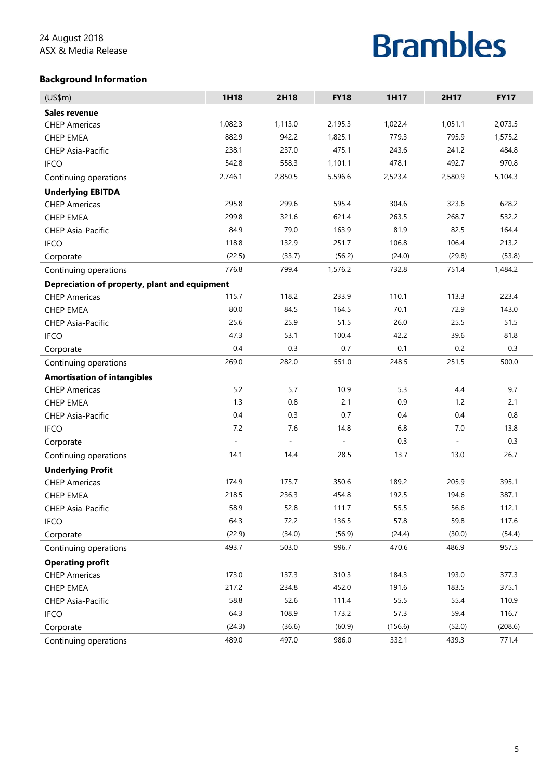#### **Background Information**

| (US\$m)                                       | 1H18    | 2H18    | <b>FY18</b> | 1H17    | 2H17    | <b>FY17</b> |
|-----------------------------------------------|---------|---------|-------------|---------|---------|-------------|
| Sales revenue                                 |         |         |             |         |         |             |
| <b>CHEP Americas</b>                          | 1,082.3 | 1,113.0 | 2,195.3     | 1,022.4 | 1,051.1 | 2,073.5     |
| <b>CHEP EMEA</b>                              | 882.9   | 942.2   | 1,825.1     | 779.3   | 795.9   | 1,575.2     |
| <b>CHEP Asia-Pacific</b>                      | 238.1   | 237.0   | 475.1       | 243.6   | 241.2   | 484.8       |
| <b>IFCO</b>                                   | 542.8   | 558.3   | 1,101.1     | 478.1   | 492.7   | 970.8       |
| Continuing operations                         | 2,746.1 | 2,850.5 | 5,596.6     | 2,523.4 | 2,580.9 | 5,104.3     |
| <b>Underlying EBITDA</b>                      |         |         |             |         |         |             |
| <b>CHEP Americas</b>                          | 295.8   | 299.6   | 595.4       | 304.6   | 323.6   | 628.2       |
| <b>CHEP EMEA</b>                              | 299.8   | 321.6   | 621.4       | 263.5   | 268.7   | 532.2       |
| <b>CHEP Asia-Pacific</b>                      | 84.9    | 79.0    | 163.9       | 81.9    | 82.5    | 164.4       |
| <b>IFCO</b>                                   | 118.8   | 132.9   | 251.7       | 106.8   | 106.4   | 213.2       |
| Corporate                                     | (22.5)  | (33.7)  | (56.2)      | (24.0)  | (29.8)  | (53.8)      |
| Continuing operations                         | 776.8   | 799.4   | 1,576.2     | 732.8   | 751.4   | 1,484.2     |
| Depreciation of property, plant and equipment |         |         |             |         |         |             |
| <b>CHEP Americas</b>                          | 115.7   | 118.2   | 233.9       | 110.1   | 113.3   | 223.4       |
| <b>CHEP EMEA</b>                              | 80.0    | 84.5    | 164.5       | 70.1    | 72.9    | 143.0       |
| <b>CHEP Asia-Pacific</b>                      | 25.6    | 25.9    | 51.5        | 26.0    | 25.5    | 51.5        |
| <b>IFCO</b>                                   | 47.3    | 53.1    | 100.4       | 42.2    | 39.6    | 81.8        |
| Corporate                                     | 0.4     | 0.3     | 0.7         | 0.1     | 0.2     | 0.3         |
| Continuing operations                         | 269.0   | 282.0   | 551.0       | 248.5   | 251.5   | 500.0       |
| <b>Amortisation of intangibles</b>            |         |         |             |         |         |             |
| <b>CHEP Americas</b>                          | 5.2     | 5.7     | 10.9        | 5.3     | 4.4     | 9.7         |
| <b>CHEP EMEA</b>                              | 1.3     | 0.8     | 2.1         | 0.9     | 1.2     | 2.1         |
| <b>CHEP Asia-Pacific</b>                      | 0.4     | 0.3     | 0.7         | 0.4     | 0.4     | 0.8         |
| <b>IFCO</b>                                   | 7.2     | 7.6     | 14.8        | 6.8     | 7.0     | 13.8        |
| Corporate                                     |         |         |             | 0.3     |         | 0.3         |
| Continuing operations                         | 14.1    | 14.4    | 28.5        | 13.7    | 13.0    | 26.7        |
| <b>Underlying Profit</b>                      |         |         |             |         |         |             |
| <b>CHEP Americas</b>                          | 174.9   | 175.7   | 350.6       | 189.2   | 205.9   | 395.1       |
| <b>CHEP EMEA</b>                              | 218.5   | 236.3   | 454.8       | 192.5   | 194.6   | 387.1       |
| CHEP Asia-Pacific                             | 58.9    | 52.8    | 111.7       | 55.5    | 56.6    | 112.1       |
| <b>IFCO</b>                                   | 64.3    | 72.2    | 136.5       | 57.8    | 59.8    | 117.6       |
| Corporate                                     | (22.9)  | (34.0)  | (56.9)      | (24.4)  | (30.0)  | (54.4)      |
| Continuing operations                         | 493.7   | 503.0   | 996.7       | 470.6   | 486.9   | 957.5       |
| <b>Operating profit</b>                       |         |         |             |         |         |             |
| <b>CHEP Americas</b>                          | 173.0   | 137.3   | 310.3       | 184.3   | 193.0   | 377.3       |
| CHEP EMEA                                     | 217.2   | 234.8   | 452.0       | 191.6   | 183.5   | 375.1       |
| CHEP Asia-Pacific                             | 58.8    | 52.6    | 111.4       | 55.5    | 55.4    | 110.9       |
| <b>IFCO</b>                                   | 64.3    | 108.9   | 173.2       | 57.3    | 59.4    | 116.7       |
| Corporate                                     | (24.3)  | (36.6)  | (60.9)      | (156.6) | (52.0)  | (208.6)     |
| Continuing operations                         | 489.0   | 497.0   | 986.0       | 332.1   | 439.3   | 771.4       |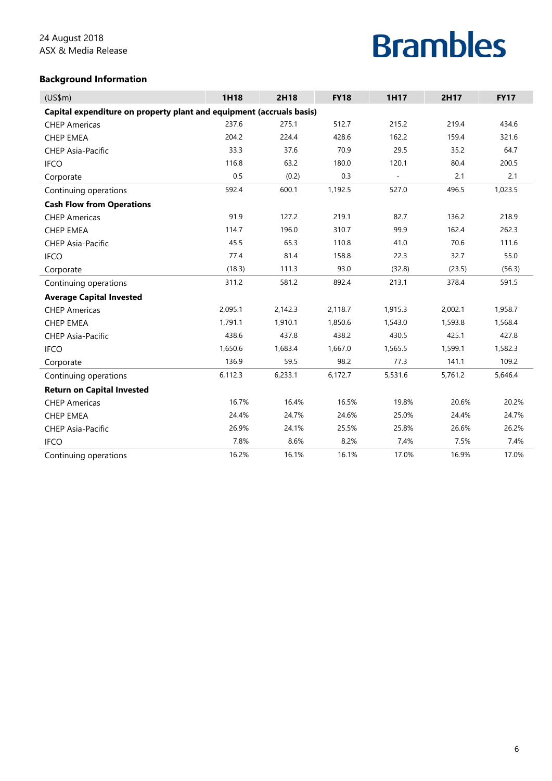#### **Background Information**

| (US\$m)                                                              | 1H18    | 2H18    | <b>FY18</b> | 1H17                     | 2H17    | <b>FY17</b> |  |  |
|----------------------------------------------------------------------|---------|---------|-------------|--------------------------|---------|-------------|--|--|
| Capital expenditure on property plant and equipment (accruals basis) |         |         |             |                          |         |             |  |  |
| <b>CHEP Americas</b>                                                 | 237.6   | 275.1   | 512.7       | 215.2                    | 219.4   | 434.6       |  |  |
| <b>CHEP EMEA</b>                                                     | 204.2   | 224.4   | 428.6       | 162.2                    | 159.4   | 321.6       |  |  |
| CHEP Asia-Pacific                                                    | 33.3    | 37.6    | 70.9        | 29.5                     | 35.2    | 64.7        |  |  |
| <b>IFCO</b>                                                          | 116.8   | 63.2    | 180.0       | 120.1                    | 80.4    | 200.5       |  |  |
| Corporate                                                            | 0.5     | (0.2)   | 0.3         | $\overline{\phantom{a}}$ | 2.1     | 2.1         |  |  |
| Continuing operations                                                | 592.4   | 600.1   | 1,192.5     | 527.0                    | 496.5   | 1,023.5     |  |  |
| <b>Cash Flow from Operations</b>                                     |         |         |             |                          |         |             |  |  |
| <b>CHEP Americas</b>                                                 | 91.9    | 127.2   | 219.1       | 82.7                     | 136.2   | 218.9       |  |  |
| <b>CHEP EMEA</b>                                                     | 114.7   | 196.0   | 310.7       | 99.9                     | 162.4   | 262.3       |  |  |
| <b>CHEP Asia-Pacific</b>                                             | 45.5    | 65.3    | 110.8       | 41.0                     | 70.6    | 111.6       |  |  |
| <b>IFCO</b>                                                          | 77.4    | 81.4    | 158.8       | 22.3                     | 32.7    | 55.0        |  |  |
| Corporate                                                            | (18.3)  | 111.3   | 93.0        | (32.8)                   | (23.5)  | (56.3)      |  |  |
| Continuing operations                                                | 311.2   | 581.2   | 892.4       | 213.1                    | 378.4   | 591.5       |  |  |
| <b>Average Capital Invested</b>                                      |         |         |             |                          |         |             |  |  |
| <b>CHEP Americas</b>                                                 | 2,095.1 | 2,142.3 | 2,118.7     | 1,915.3                  | 2,002.1 | 1,958.7     |  |  |
| <b>CHEP EMEA</b>                                                     | 1,791.1 | 1,910.1 | 1,850.6     | 1,543.0                  | 1,593.8 | 1,568.4     |  |  |
| <b>CHEP Asia-Pacific</b>                                             | 438.6   | 437.8   | 438.2       | 430.5                    | 425.1   | 427.8       |  |  |
| <b>IFCO</b>                                                          | 1,650.6 | 1,683.4 | 1,667.0     | 1,565.5                  | 1,599.1 | 1,582.3     |  |  |
| Corporate                                                            | 136.9   | 59.5    | 98.2        | 77.3                     | 141.1   | 109.2       |  |  |
| Continuing operations                                                | 6,112.3 | 6,233.1 | 6,172.7     | 5,531.6                  | 5,761.2 | 5,646.4     |  |  |
| <b>Return on Capital Invested</b>                                    |         |         |             |                          |         |             |  |  |
| <b>CHEP Americas</b>                                                 | 16.7%   | 16.4%   | 16.5%       | 19.8%                    | 20.6%   | 20.2%       |  |  |
| <b>CHEP EMEA</b>                                                     | 24.4%   | 24.7%   | 24.6%       | 25.0%                    | 24.4%   | 24.7%       |  |  |
| <b>CHEP Asia-Pacific</b>                                             | 26.9%   | 24.1%   | 25.5%       | 25.8%                    | 26.6%   | 26.2%       |  |  |
| <b>IFCO</b>                                                          | 7.8%    | 8.6%    | 8.2%        | 7.4%                     | 7.5%    | 7.4%        |  |  |
| Continuing operations                                                | 16.2%   | 16.1%   | 16.1%       | 17.0%                    | 16.9%   | 17.0%       |  |  |